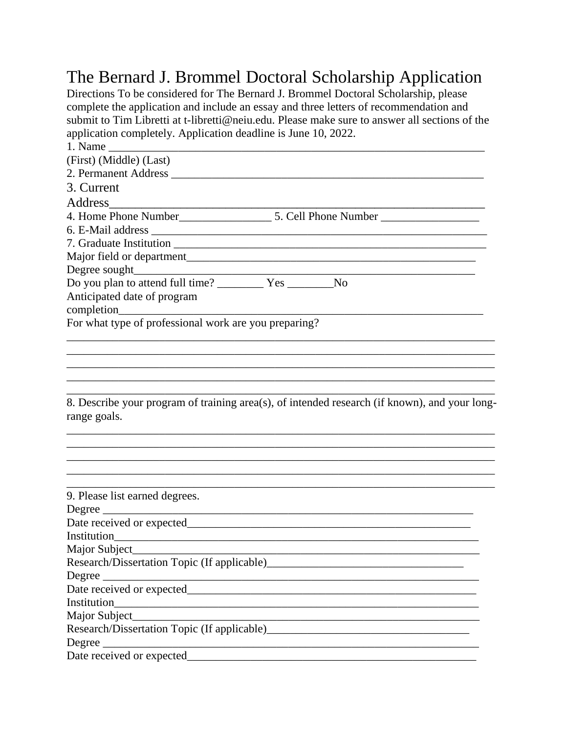## The Bernard J. Brommel Doctoral Scholarship Application

Directions To be considered for The Bernard J. Brommel Doctoral Scholarship, please complete the application and include an essay and three letters of recommendation and submit to Tim Libretti at t-libretti@neiu.edu. Please make sure to answer all sections of the application completely. Application deadline is June 10, 2022.

| (First) (Middle) (Last)                                                                       |
|-----------------------------------------------------------------------------------------------|
|                                                                                               |
| 3. Current                                                                                    |
| Address                                                                                       |
|                                                                                               |
|                                                                                               |
|                                                                                               |
|                                                                                               |
|                                                                                               |
|                                                                                               |
| Anticipated date of program                                                                   |
|                                                                                               |
| For what type of professional work are you preparing?                                         |
|                                                                                               |
|                                                                                               |
|                                                                                               |
|                                                                                               |
|                                                                                               |
| 8. Describe your program of training area(s), of intended research (if known), and your long- |
| range goals.                                                                                  |
|                                                                                               |
|                                                                                               |
|                                                                                               |
|                                                                                               |
|                                                                                               |
| 9. Please list earned degrees.                                                                |
|                                                                                               |
|                                                                                               |
|                                                                                               |
| Major Subject                                                                                 |
|                                                                                               |
| Degree                                                                                        |
|                                                                                               |
|                                                                                               |
|                                                                                               |
| Research/Dissertation Topic (If applicable)                                                   |
|                                                                                               |
|                                                                                               |
|                                                                                               |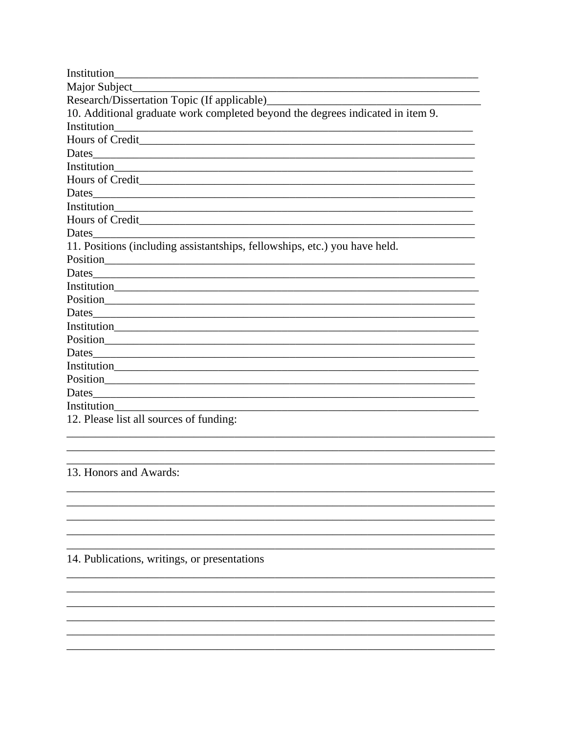| Institution                                                                    |
|--------------------------------------------------------------------------------|
|                                                                                |
|                                                                                |
| 10. Additional graduate work completed beyond the degrees indicated in item 9. |
| Institution                                                                    |
|                                                                                |
|                                                                                |
|                                                                                |
|                                                                                |
|                                                                                |
|                                                                                |
|                                                                                |
| Dates                                                                          |
| 11. Positions (including assistantships, fellowships, etc.) you have held.     |
| Position                                                                       |
|                                                                                |
|                                                                                |
|                                                                                |
| Dates                                                                          |
|                                                                                |
| Position Position                                                              |
|                                                                                |
|                                                                                |
| Position Position                                                              |
| Dates                                                                          |
|                                                                                |
| 12. Please list all sources of funding:                                        |

## 13. Honors and Awards:

## 14. Publications, writings, or presentations